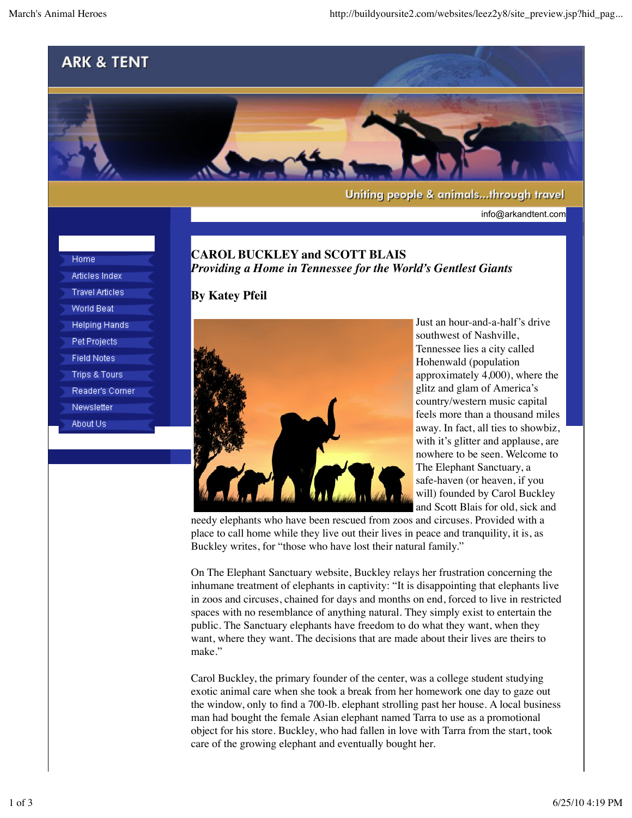

info@arkandtent.com

Home Articles Index **Travel Articles World Beat Helping Hands** Pet Projects **Field Notes Trips & Tours** Reader's Corner Newsletter About Us

## **CAROL BUCKLEY and SCOTT BLAIS** *Providing a Home in Tennessee for the World's Gentlest Giants*

## **By Katey Pfeil**



Just an hour-and-a-half's drive southwest of Nashville, Tennessee lies a city called Hohenwald (population approximately 4,000), where the glitz and glam of America's country/western music capital feels more than a thousand miles away. In fact, all ties to showbiz, with it's glitter and applause, are nowhere to be seen. Welcome to The Elephant Sanctuary, a safe-haven (or heaven, if you will) founded by Carol Buckley and Scott Blais for old, sick and

needy elephants who have been rescued from zoos and circuses. Provided with a place to call home while they live out their lives in peace and tranquility, it is, as Buckley writes, for "those who have lost their natural family."

On The Elephant Sanctuary website, Buckley relays her frustration concerning the inhumane treatment of elephants in captivity: "It is disappointing that elephants live in zoos and circuses, chained for days and months on end, forced to live in restricted spaces with no resemblance of anything natural. They simply exist to entertain the public. The Sanctuary elephants have freedom to do what they want, when they want, where they want. The decisions that are made about their lives are theirs to make."

Carol Buckley, the primary founder of the center, was a college student studying exotic animal care when she took a break from her homework one day to gaze out the window, only to find a 700-lb. elephant strolling past her house. A local business man had bought the female Asian elephant named Tarra to use as a promotional object for his store. Buckley, who had fallen in love with Tarra from the start, took care of the growing elephant and eventually bought her.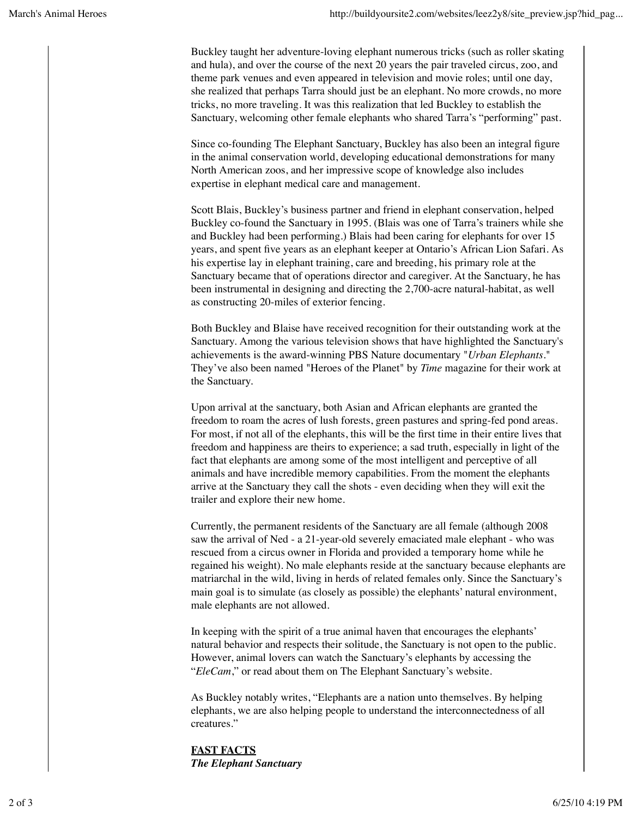Buckley taught her adventure-loving elephant numerous tricks (such as roller skating and hula), and over the course of the next 20 years the pair traveled circus, zoo, and theme park venues and even appeared in television and movie roles; until one day, she realized that perhaps Tarra should just be an elephant. No more crowds, no more tricks, no more traveling. It was this realization that led Buckley to establish the Sanctuary, welcoming other female elephants who shared Tarra's "performing" past.

Since co-founding The Elephant Sanctuary, Buckley has also been an integral figure in the animal conservation world, developing educational demonstrations for many North American zoos, and her impressive scope of knowledge also includes expertise in elephant medical care and management.

Scott Blais, Buckley's business partner and friend in elephant conservation, helped Buckley co-found the Sanctuary in 1995. (Blais was one of Tarra's trainers while she and Buckley had been performing.) Blais had been caring for elephants for over 15 years, and spent five years as an elephant keeper at Ontario's African Lion Safari. As his expertise lay in elephant training, care and breeding, his primary role at the Sanctuary became that of operations director and caregiver. At the Sanctuary, he has been instrumental in designing and directing the 2,700-acre natural-habitat, as well as constructing 20-miles of exterior fencing.

Both Buckley and Blaise have received recognition for their outstanding work at the Sanctuary. Among the various television shows that have highlighted the Sanctuary's achievements is the award-winning PBS Nature documentary "*Urban Elephants*." They've also been named "Heroes of the Planet" by *Time* magazine for their work at the Sanctuary.

Upon arrival at the sanctuary, both Asian and African elephants are granted the freedom to roam the acres of lush forests, green pastures and spring-fed pond areas. For most, if not all of the elephants, this will be the first time in their entire lives that freedom and happiness are theirs to experience; a sad truth, especially in light of the fact that elephants are among some of the most intelligent and perceptive of all animals and have incredible memory capabilities. From the moment the elephants arrive at the Sanctuary they call the shots - even deciding when they will exit the trailer and explore their new home.

Currently, the permanent residents of the Sanctuary are all female (although 2008 saw the arrival of Ned - a 21-year-old severely emaciated male elephant - who was rescued from a circus owner in Florida and provided a temporary home while he regained his weight). No male elephants reside at the sanctuary because elephants are matriarchal in the wild, living in herds of related females only. Since the Sanctuary's main goal is to simulate (as closely as possible) the elephants' natural environment, male elephants are not allowed.

In keeping with the spirit of a true animal haven that encourages the elephants' natural behavior and respects their solitude, the Sanctuary is not open to the public. However, animal lovers can watch the Sanctuary's elephants by accessing the "*EleCam*," or read about them on The Elephant Sanctuary's website.

As Buckley notably writes, "Elephants are a nation unto themselves. By helping elephants, we are also helping people to understand the interconnectedness of all creatures."

**FAST FACTS** *The Elephant Sanctuary*